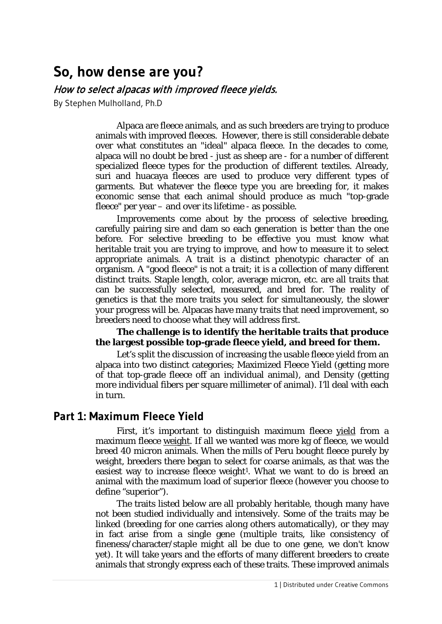# **So, how dense are you?**

#### How to select alpacas with improved fleece yields.

By Stephen Mulholland, Ph.D

Alpaca are fleece animals, and as such breeders are trying to produce animals with improved fleeces. However, there is still considerable debate over what constitutes an "ideal" alpaca fleece. In the decades to come, alpaca will no doubt be bred - just as sheep are - for a number of different specialized fleece types for the production of different textiles. Already, suri and huacaya fleeces are used to produce very different types of garments. But whatever the fleece type you are breeding for, it makes economic sense that each animal should produce as much "top-grade fleece" per year – and over its lifetime - as possible.

Improvements come about by the process of selective breeding, carefully pairing sire and dam so each generation is better than the one before. For selective breeding to be effective you must know what heritable trait you are trying to improve, and how to measure it to select appropriate animals. A trait is a distinct phenotypic character of an organism. A "good fleece" is not a trait; it is a collection of many different distinct traits. Staple length, color, average micron, etc. are all traits that can be successfully selected, measured, and bred for. The reality of genetics is that the more traits you select for simultaneously, the slower your progress will be. Alpacas have many traits that need improvement, so breeders need to choose what they will address first.

#### **The challenge is to identify the heritable traits that produce the largest possible top-grade fleece yield, and breed for them.**

Let's split the discussion of increasing the usable fleece yield from an alpaca into two distinct categories; Maximized Fleece Yield (getting more of that top-grade fleece off an individual animal), and Density (getting more individual fibers per square millimeter of animal). I'll deal with each in turn.

# **Part 1: Maximum Fleece Yield**

First, it's important to distinguish maximum fleece yield from a maximum fleece weight. If all we wanted was more kg of fleece, we would breed 40 micron animals. When the mills of Peru bought fleece purely by weight, breeders there began to select for coarse animals, as that was the easiest way to increase fleece weight<sup>1</sup>. What we want to do is breed an animal with the maximum load of *superior* fleece (however you choose to define "superior").

The traits listed below are all probably heritable, though many have not been studied individually and intensively. Some of the traits may be linked (breeding for one carries along others automatically), or they may in fact arise from a single gene (multiple traits, like consistency of fineness/character/staple might all be due to one gene, we don't know yet). It will take years and the efforts of many different breeders to create animals that strongly express each of these traits. These improved animals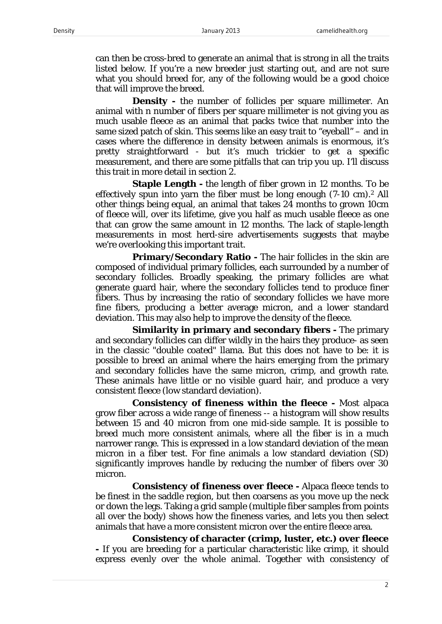can then be cross-bred to generate an animal that is strong in all the traits listed below. If you're a new breeder just starting out, and are not sure what you should breed for, any of the following would be a good choice that will improve the breed.

**Density -** the number of follicles per square millimeter. An animal with *n* number of fibers per square millimeter is not giving you as much usable fleece as an animal that packs twice that number into the same sized patch of skin. This seems like an easy trait to "eyeball" – and in cases where the difference in density between animals is enormous, it's pretty straightforward - but it's much trickier to get a specific measurement, and there are some pitfalls that can trip you up. I'll discuss this trait in more detail in section 2.

**Staple Length -** the length of fiber grown in 12 months. To be effectively spun into yarn the fiber must be long enough (7-10 cm).2 All other things being equal, an animal that takes 24 months to grown 10cm of fleece will, over its lifetime, give you half as much usable fleece as one that can grow the same amount in 12 months. The lack of staple-length measurements in most herd-sire advertisements suggests that maybe we're overlooking this important trait.

**Primary/Secondary Ratio -** The hair follicles in the skin are composed of individual primary follicles, each surrounded by a number of secondary follicles. Broadly speaking, the primary follicles are what generate guard hair, where the secondary follicles tend to produce finer fibers. Thus by increasing the ratio of secondary follicles we have more fine fibers, producing a better average micron, and a lower standard deviation. This may also help to improve the density of the fleece.

**Similarity in primary and secondary fibers -** The primary and secondary follicles can differ wildly in the hairs they produce- as seen in the classic "double coated" llama. But this does not have to be: it is possible to breed an animal where the hairs emerging from the primary and secondary follicles have the same micron, crimp, and growth rate. These animals have little or no visible guard hair, and produce a very consistent fleece (low standard deviation).

**Consistency of fineness within the fleece -** Most alpaca grow fiber across a wide range of fineness -- a histogram will show results between 15 and 40 micron from one mid-side sample. It is possible to breed much more consistent animals, where all the fiber is in a much narrower range. This is expressed in a low standard deviation of the mean micron in a fiber test. For fine animals a low standard deviation (SD) significantly improves handle by reducing the number of fibers over 30 micron.

**Consistency of fineness over fleece -** Alpaca fleece tends to be finest in the saddle region, but then coarsens as you move up the neck or down the legs. Taking a grid sample (multiple fiber samples from points all over the body) shows how the fineness varies, and lets you then select animals that have a more consistent micron over the entire fleece area.

**Consistency of character (crimp, luster, etc.) over fleece -** If you are breeding for a particular characteristic like crimp, it should express evenly over the whole animal. Together with consistency of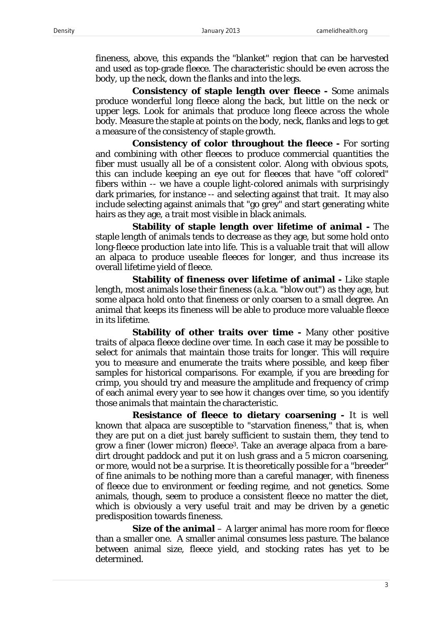fineness, above, this expands the "blanket" region that can be harvested and used as top-grade fleece. The characteristic should be even across the body, up the neck, down the flanks and into the legs.

**Consistency of staple length over fleece -** Some animals produce wonderful long fleece along the back, but little on the neck or upper legs. Look for animals that produce long fleece across the whole body. Measure the staple at points on the body, neck, flanks and legs to get a measure of the consistency of staple growth.

**Consistency of color throughout the fleece -** For sorting and combining with other fleeces to produce commercial quantities the fiber must usually all be of a consistent color. Along with obvious spots, this can include keeping an eye out for fleeces that have "off colored" fibers within -- we have a couple light-colored animals with surprisingly dark primaries, for instance -- and selecting against that trait. It may also include selecting against animals that "go grey" and start generating white hairs as they age, a trait most visible in black animals.

**Stability of staple length over lifetime of animal -** The staple length of animals tends to decrease as they age, but some hold onto long-fleece production late into life. This is a valuable trait that will allow an alpaca to produce useable fleeces for longer, and thus increase its overall lifetime yield of fleece.

**Stability of fineness over lifetime of animal -** Like staple length, most animals lose their fineness (a.k.a. "blow out") as they age, but some alpaca hold onto that fineness or only coarsen to a small degree. An animal that keeps its fineness will be able to produce more valuable fleece in its lifetime.

**Stability of other traits over time** - Many other positive traits of alpaca fleece decline over time. In each case it may be possible to select for animals that maintain those traits for longer. This will require you to measure and enumerate the traits where possible, and keep fiber samples for historical comparisons. For example, if you are breeding for crimp, you should try and measure the amplitude and frequency of crimp of each animal every year to see how it changes over time, so you identify those animals that maintain the characteristic.

**Resistance of fleece to dietary coarsening -** It is well known that alpaca are susceptible to "starvation fineness," that is, when they are put on a diet just barely sufficient to sustain them, they tend to grow a finer (lower micron) fleece3. Take an average alpaca from a baredirt drought paddock and put it on lush grass and a 5 micron coarsening, or more, would not be a surprise. It is theoretically possible for a "breeder" of fine animals to be nothing more than a careful manager, with fineness of fleece due to environment or feeding regime, and not genetics. Some animals, though, seem to produce a consistent fleece no matter the diet, which is obviously a very useful trait and may be driven by a genetic predisposition towards fineness.

**Size of the animal** – A larger animal has more room for fleece than a smaller one. A smaller animal consumes less pasture. The balance between animal size, fleece yield, and stocking rates has yet to be determined.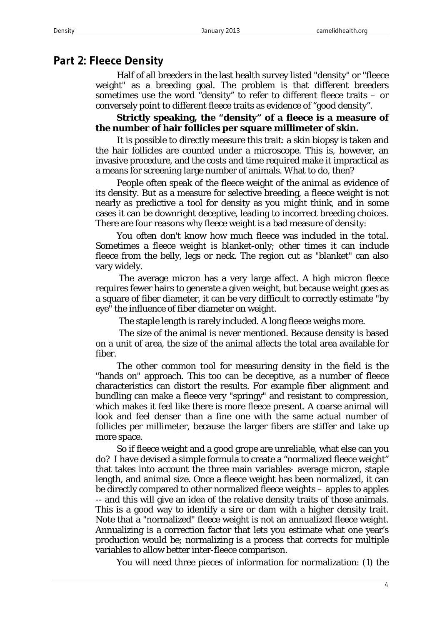#### **Part 2: Fleece Density**

Half of all breeders in the last health survey listed "density" or "fleece weight" as a breeding goal. The problem is that different breeders sometimes use the word "density" to refer to different fleece traits – or conversely point to different fleece traits as evidence of "good density".

**Strictly speaking, the "density" of a fleece is a measure of the number of hair follicles per square millimeter of skin.** 

It is possible to directly measure this trait: a skin biopsy is taken and the hair follicles are counted under a microscope. This is, however, an invasive procedure, and the costs and time required make it impractical as a means for screening large number of animals. What to do, then?

People often speak of the fleece weight of the animal as evidence of its density. But as a measure for selective breeding, a fleece weight is not nearly as predictive a tool for density as you might think, and in some cases it can be downright deceptive, leading to incorrect breeding choices. There are four reasons why fleece weight is a bad measure of density:

You often don't know how much fleece was included in the total. Sometimes a fleece weight is blanket-only; other times it can include fleece from the belly, legs or neck. The region cut as "blanket" can also vary widely.

The average micron has a very large affect. A high micron fleece requires fewer hairs to generate a given weight, but because weight goes as a square of fiber diameter, it can be very difficult to correctly estimate "by eye" the influence of fiber diameter on weight.

The staple length is rarely included. A long fleece weighs more.

The size of the animal is never mentioned. Because density is based on a unit of area, the size of the animal affects the total area available for fiber.

The other common tool for measuring density in the field is the "hands on" approach. This too can be deceptive, as a number of fleece characteristics can distort the results. For example fiber alignment and bundling can make a fleece very "springy" and resistant to compression, which makes it feel like there is more fleece present. A coarse animal will look and feel denser than a fine one with the same actual number of follicles per millimeter, because the larger fibers are stiffer and take up more space.

So if fleece weight and a good grope are unreliable, what else can you do? I have devised a simple formula to create a "normalized fleece weight" that takes into account the three main variables- average micron, staple length, and animal size. Once a fleece weight has been normalized, it can be directly compared to other normalized fleece weights – apples to apples -- and this will give an idea of the relative density traits of those animals. This is a good way to identify a sire or dam with a higher density trait. Note that a "normalized" fleece weight is not an annualized fleece weight. Annualizing is a correction factor that lets you estimate what one year's production would be; normalizing is a process that corrects for multiple variables to allow better inter-fleece comparison.

You will need three pieces of information for normalization: (1) the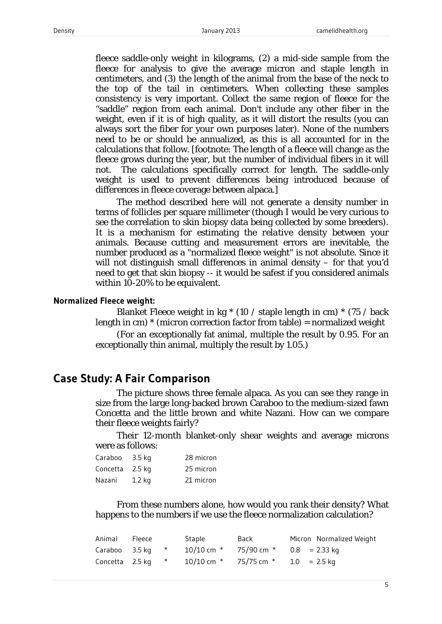fleece saddle-only weight in kilograms, (2) a mid-side sample from the fleece for analysis to give the average micron and staple length in centimeters, and (3) the length of the animal from the base of the neck to the top of the tail in centimeters. When collecting these samples consistency is very important. Collect the same region of fleece for the "saddle" region from each animal. Don't include any other fiber in the weight, even if it is of high quality, as it will distort the results (you can always sort the fiber for your own purposes later). None of the numbers need to be or should be annualized, as this is all accounted for in the calculations that follow. [footnote: The *length* of a fleece will change as the fleece grows during the year, but the number of individual fibers in it will not. The calculations specifically correct for length. The saddle-only weight is used to prevent differences being introduced because of differences in fleece coverage between alpaca.]

The method described here will not generate a density number in terms of follicles per square millimeter (though I would be very curious to see the correlation to skin biopsy data being collected by some breeders). It is a mechanism for estimating the *relative* density between your animals. Because cutting and measurement errors are inevitable, the number produced as a "normalized fleece weight" is not absolute. Since it will not distinguish small differences in animal density – for that you'd need to get that skin biopsy -- it would be safest if you considered animals within 10-20% to be equivalent.

#### **Normalized Fleece weight:**

Blanket Fleece weight in kg \* (10 / staple length in cm) \* (75 / back length in cm)  $*$  (micron correction factor from table) = normalized weight

(For an exceptionally fat animal, multiple the result by 0.95. For an exceptionally thin animal, multiply the result by 1.05.)

# **Case Study: A Fair Comparison**

The picture shows three female alpaca. As you can see they range in size from the large long-backed brown Caraboo to the medium-sized fawn Concetta and the little brown and white Nazani. How can we compare their fleece weights fairly?

Their 12-month blanket-only shear weights and average microns were as follows:

| Caraboo         | $3.5$ kg | 28 micron |
|-----------------|----------|-----------|
| Concetta 2.5 kg |          | 25 micron |
| Nazani          | $1.2$ kg | 21 micron |

From these numbers alone, how would you rank their density? What happens to the numbers if we use the fleece normalization calculation?

| Animal Fleece     |  | Staple                                                     | Back | Micron Normalized Weight |
|-------------------|--|------------------------------------------------------------|------|--------------------------|
|                   |  | Caraboo 3.5 kg $*$ 10/10 cm $*$ 75/90 cm $*$ 0.8 = 2.33 kg |      |                          |
| Concetta 2.5 kg * |  | $10/10$ cm $*$ 75/75 cm $*$ 1.0 = 2.5 kg                   |      |                          |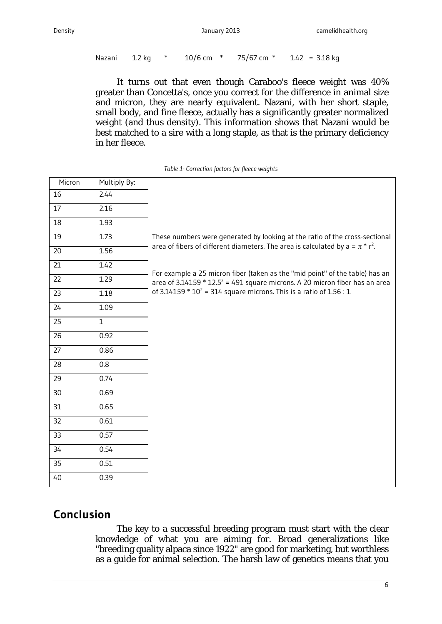```
Nazani 1.2 kg * 10/6 cm * 75/67 cm * 1.42 = 3.18 kg
```
It turns out that even though Caraboo's fleece weight was 40% greater than Concetta's, once you correct for the difference in animal size and micron, they are nearly equivalent. Nazani, with her short staple, small body, and fine fleece, actually has a significantly greater normalized weight (and thus density). This information shows that Nazani would be best matched to a sire with a long staple, as that is the primary deficiency in her fleece.

| Micron          | Multiply By: |                                                                                                                                                                           |
|-----------------|--------------|---------------------------------------------------------------------------------------------------------------------------------------------------------------------------|
| 16              | 2.44         |                                                                                                                                                                           |
| 17              | 2.16         |                                                                                                                                                                           |
| 18              | 1.93         |                                                                                                                                                                           |
| 19              | 1.73         | These numbers were generated by looking at the ratio of the cross-sectional                                                                                               |
| 20              | 1.56         | area of fibers of different diameters. The area is calculated by $a = \pi * r^2$ .                                                                                        |
| 21              | 1.42         |                                                                                                                                                                           |
| $\overline{22}$ | 1.29         | For example a 25 micron fiber (taken as the "mid point" of the table) has an<br>area of 3.14159 $*$ 12.5 <sup>2</sup> = 491 square microns. A 20 micron fiber has an area |
| 23              | 1.18         | of $3.14159 * 10^2 = 314$ square microns. This is a ratio of $1.56 : 1$ .                                                                                                 |
| 24              | 1.09         |                                                                                                                                                                           |
| 25              | $\mathbf{1}$ |                                                                                                                                                                           |
| 26              | 0.92         |                                                                                                                                                                           |
| 27              | 0.86         |                                                                                                                                                                           |
| 28              | 0.8          |                                                                                                                                                                           |
| 29              | 0.74         |                                                                                                                                                                           |
| 30              | 0.69         |                                                                                                                                                                           |
| 31              | 0.65         |                                                                                                                                                                           |
| 32              | 0.61         |                                                                                                                                                                           |
| 33              | 0.57         |                                                                                                                                                                           |
| 34              | 0.54         |                                                                                                                                                                           |
| 35              | 0.51         |                                                                                                                                                                           |
| 40              | 0.39         |                                                                                                                                                                           |

| Table 1- Correction factors for fleece weights |  |  |
|------------------------------------------------|--|--|
|                                                |  |  |

# **Conclusion**

The key to a successful breeding program must start with the clear knowledge of what you are aiming for. Broad generalizations like "breeding quality alpaca since 1922" are good for marketing, but worthless as a guide for animal selection. The harsh law of genetics means that you